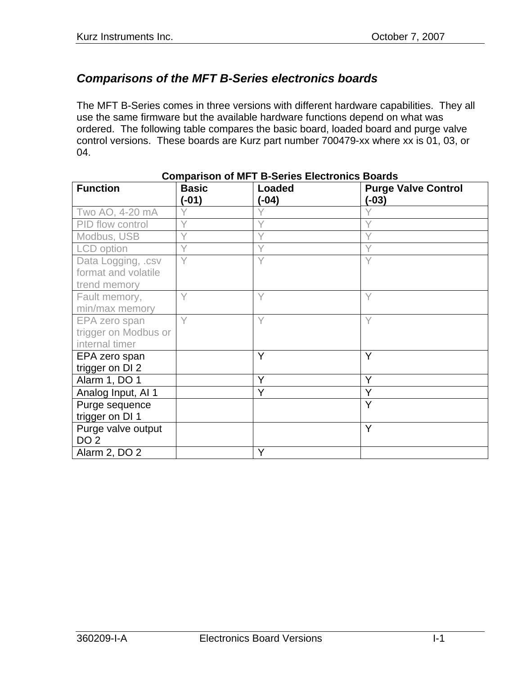## *Comparisons of the MFT B-Series electronics boards*

The MFT B-Series comes in three versions with different hardware capabilities. They all use the same firmware but the available hardware functions depend on what was ordered. The following table compares the basic board, loaded board and purge valve control versions. These boards are Kurz part number 700479-xx where xx is 01, 03, or 04.

| <b>Function</b>                                           | <b>Basic</b><br>$(-01)$ | COMPANSON OF MILLID-OCHCS LICCHONICS DOARDS<br><b>Loaded</b><br>(-04) | <b>Purge Valve Control</b><br>$(-03)$ |
|-----------------------------------------------------------|-------------------------|-----------------------------------------------------------------------|---------------------------------------|
| Two AO, 4-20 mA                                           |                         |                                                                       |                                       |
| PID flow control                                          |                         |                                                                       |                                       |
| Modbus, USB                                               |                         |                                                                       |                                       |
| LCD option                                                | Y                       | Y                                                                     |                                       |
| Data Logging, .csv<br>format and volatile<br>trend memory | Y                       | Y                                                                     | Y                                     |
| Fault memory,<br>min/max memory                           | Υ                       | Υ                                                                     |                                       |
| EPA zero span<br>trigger on Modbus or<br>internal timer   | Y                       | Y                                                                     | Υ                                     |
| EPA zero span<br>trigger on DI 2                          |                         | Y                                                                     | Y                                     |
| Alarm 1, DO 1                                             |                         | Y                                                                     | Y                                     |
| Analog Input, AI 1                                        |                         | Y                                                                     | Y                                     |
| Purge sequence<br>trigger on DI 1                         |                         |                                                                       | Ÿ                                     |
| Purge valve output<br>DO <sub>2</sub>                     |                         |                                                                       | Y                                     |
| Alarm 2, DO 2                                             |                         | Y                                                                     |                                       |

**Comparison of MFT B-Series Electronics Boards**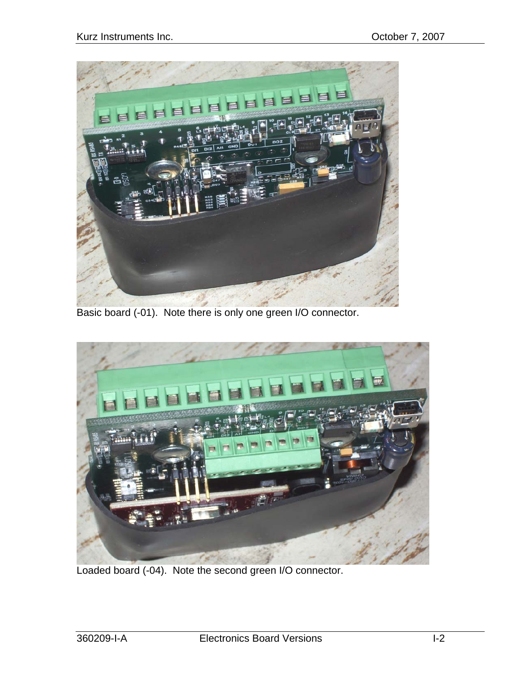

Basic board (-01). Note there is only one green I/O connector.



Loaded board (-04). Note the second green I/O connector.